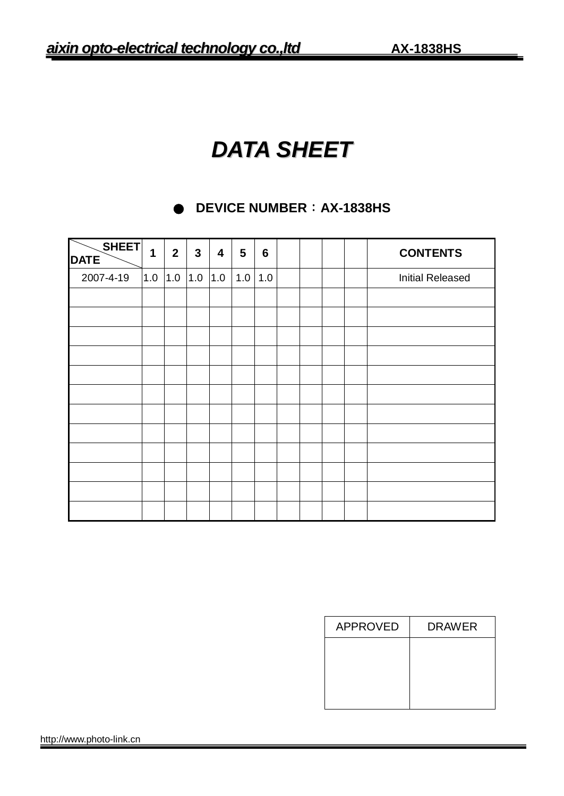# *DATA SHEET*

# **● DEVICE NUMBER:AX-1838HS**

| <b>SHEET</b><br><b>DATE</b> | 1   | 2 <sup>1</sup> | $\mathbf{3}$ | $\overline{\mathbf{4}}$ | $5\phantom{.0}$ | $6\phantom{1}6$ |  |  | <b>CONTENTS</b>         |
|-----------------------------|-----|----------------|--------------|-------------------------|-----------------|-----------------|--|--|-------------------------|
| 2007-4-19                   | 1.0 | 1.0            | 1.0          | 1.0                     | 1.0             | 1.0             |  |  | <b>Initial Released</b> |
|                             |     |                |              |                         |                 |                 |  |  |                         |
|                             |     |                |              |                         |                 |                 |  |  |                         |
|                             |     |                |              |                         |                 |                 |  |  |                         |
|                             |     |                |              |                         |                 |                 |  |  |                         |
|                             |     |                |              |                         |                 |                 |  |  |                         |
|                             |     |                |              |                         |                 |                 |  |  |                         |
|                             |     |                |              |                         |                 |                 |  |  |                         |
|                             |     |                |              |                         |                 |                 |  |  |                         |
|                             |     |                |              |                         |                 |                 |  |  |                         |
|                             |     |                |              |                         |                 |                 |  |  |                         |
|                             |     |                |              |                         |                 |                 |  |  |                         |
|                             |     |                |              |                         |                 |                 |  |  |                         |

| <b>APPROVED</b> | <b>DRAWER</b> |
|-----------------|---------------|
|                 |               |
|                 |               |
|                 |               |
|                 |               |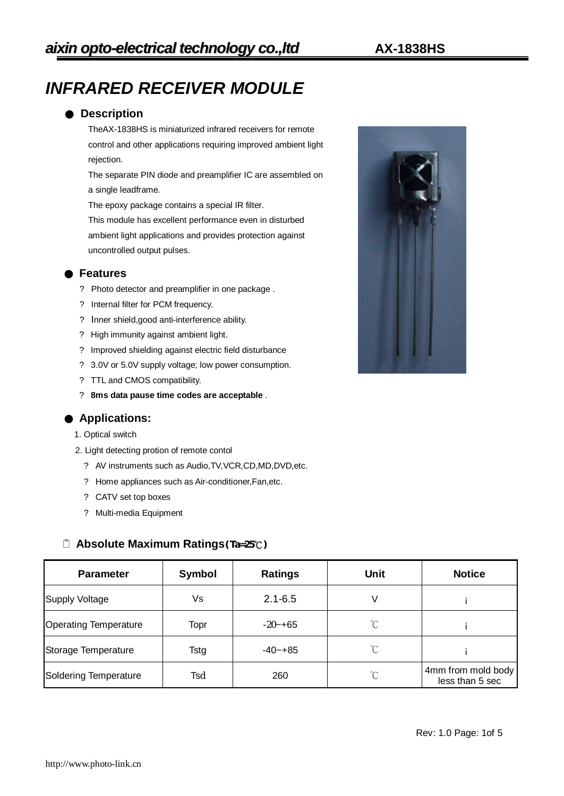# *INFRARED RECEIVER MODULE*

### ● **Description**

TheAX-1838HS is miniaturized infrared receivers for remote control and other applications requiring improved ambient light rejection.

 The separate PIN diode and preamplifier IC are assembled on a single leadframe.

The epoxy package contains a special IR filter.

 This module has excellent performance even in disturbed ambient light applications and provides protection against uncontrolled output pulses.

### ● **Features**

- ? Photo detector and preamplifier in one package .
- ? Internal filter for PCM frequency.
- ? Inner shield,good anti-interference ability.
- ? High immunity against ambient light.
- ? Improved shielding against electric field disturbance
- ? 3.0V or 5.0V supply voltage; low power consumption.
- ? TTL and CMOS compatibility.
- ? **8ms data pause time codes are acceptable** .

#### ● **Applications:**

- 1. Optical switch
- 2. Light detecting protion of remote contol
	- ? AV instruments such as Audio,TV,VCR,CD,MD,DVD,etc.
	- ? Home appliances such as Air-conditioner,Fan,etc.
	- ? CATV set top boxes
	- ? Multi-media Equipment

#### **Absolute Maximum Ratings(Ta=25℃)**

| <b>Parameter</b>             | Symbol | <b>Ratings</b> | Unit         | <b>Notice</b>                         |
|------------------------------|--------|----------------|--------------|---------------------------------------|
| Supply Voltage               | Vs     | $2.1 - 6.5$    | V            |                                       |
| <b>Operating Temperature</b> | Topr   | $-20 - +65$    | $^{\circ}$ C |                                       |
| Storage Temperature          | Tstg   | $-40 - +85$    | $\mathrm{C}$ |                                       |
| Soldering Temperature        | Tsd    | 260            | $\mathrm{C}$ | 4mm from mold body<br>less than 5 sec |

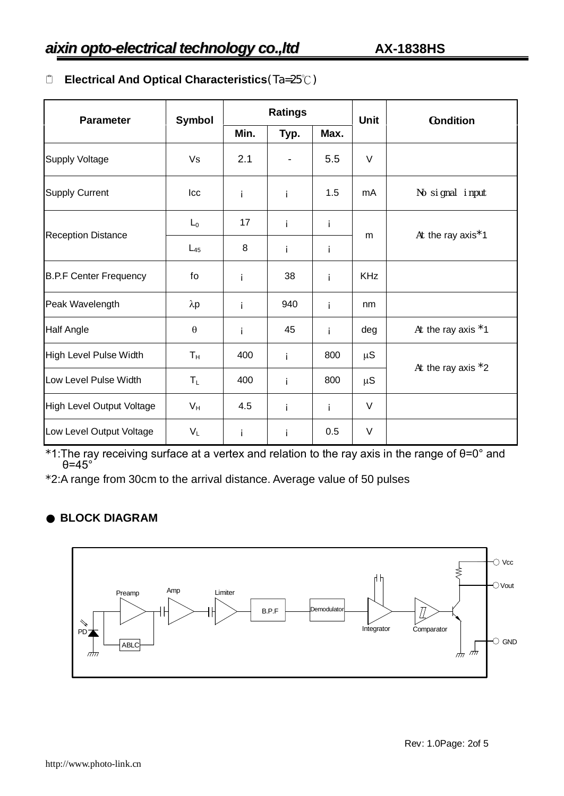# **Electrical And Optical Characteristics**(Ta=25℃)

| <b>Parameter</b>                 | Symbol                |      | <b>Ratings</b> |     | <b>Unit</b> | Condition                      |  |
|----------------------------------|-----------------------|------|----------------|-----|-------------|--------------------------------|--|
|                                  |                       | Min. | Max.<br>Typ.   |     |             |                                |  |
| <b>Supply Voltage</b>            | Vs                    | 2.1  |                | 5.5 | $\vee$      |                                |  |
| <b>Supply Current</b>            | Icc                   | i    | i              | 1.5 | mA          | No signal input                |  |
|                                  | $L_0$                 | 17   | i              | i   |             | At the ray axis <sup>*</sup> 1 |  |
| <b>Reception Distance</b>        | $L_{45}$              | 8    | i.             | i   | m           |                                |  |
| <b>B.P.F Center Frequency</b>    | fo                    | i    | 38             | î.  | <b>KHz</b>  |                                |  |
| Peak Wavelength                  | $\lambda p$           | i    | 940            | i.  | nm          |                                |  |
| <b>Half Angle</b>                | $\boldsymbol{\theta}$ | İ    | 45             | j.  | deg         | At the ray axis *1             |  |
| High Level Pulse Width           | $T_{H}$               | 400  | i              | 800 | $\mu$ S     |                                |  |
| Low Level Pulse Width            | $T_L$                 | 400  | i              | 800 | $\mu$ S     | At the ray axis $*2$           |  |
| <b>High Level Output Voltage</b> | $V_H$                 | 4.5  | i              | i.  | $\vee$      |                                |  |
| Low Level Output Voltage         | $V_L$                 | i    | i              | 0.5 | V           |                                |  |

\*1:The ray receiving surface at a vertex and relation to the ray axis in the range of θ=0° and θ=45°

\*2:A range from 30cm to the arrival distance. Average value of 50 pulses

# ● **BLOCK DIAGRAM**

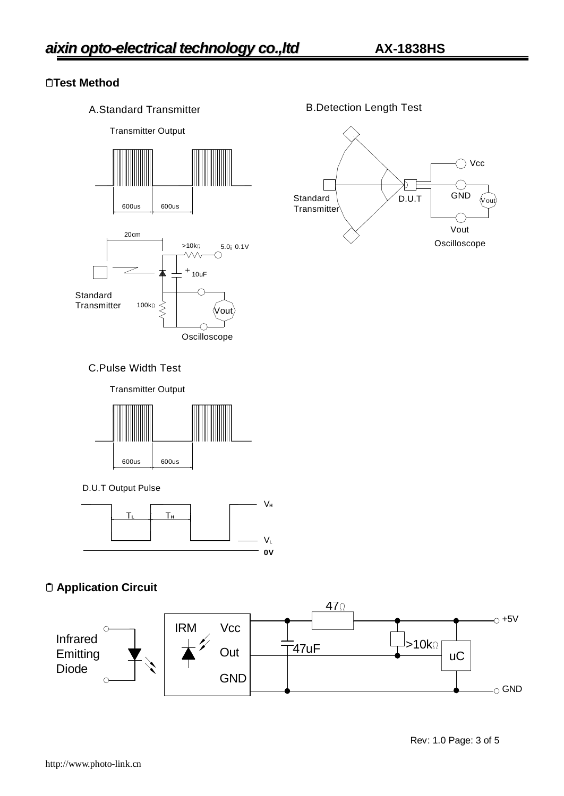# **Test Method**

A.Standard Transmitter



B.Detection Length Test



#### C.Pulse Width Test

Transmitter Output



D.U.T Output Pulse



# **Application Circuit**

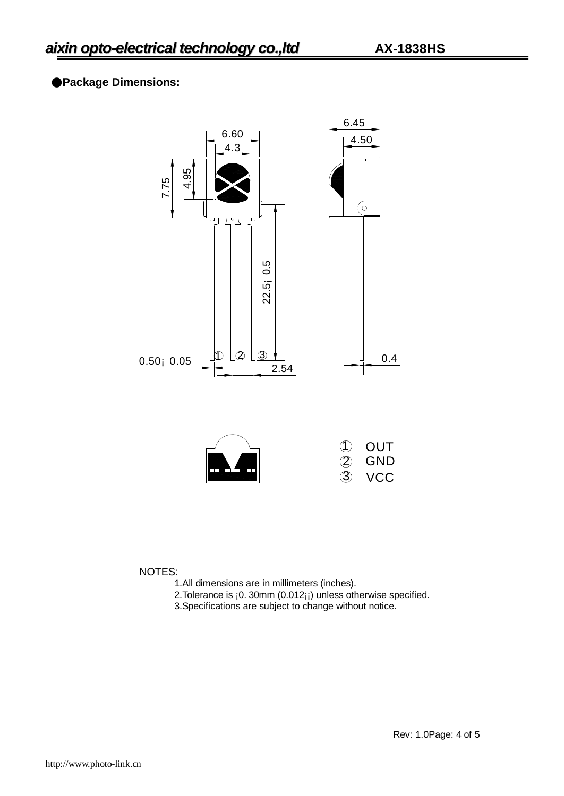## ●**Package Dimensions:**



NOTES:

- 1.All dimensions are in millimeters (inches).
- 2. Tolerance is ¡0. 30mm (0.012<sub>11</sub>) unless otherwise specified.
- 3.Specifications are subject to change without notice.